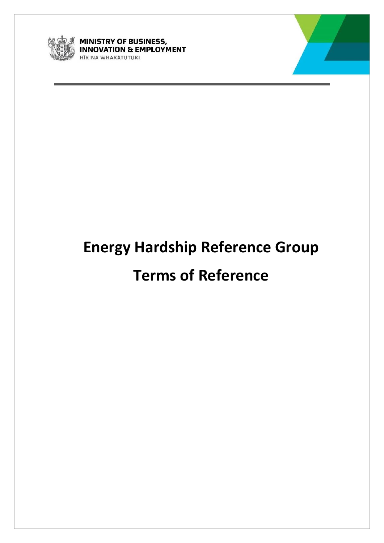

**MINISTRY OF BUSINESS,<br>INNOVATION & EMPLOYMENT** HĪKINA WHAKATUTUKI



# **Energy Hardship Reference Group**

# **Terms of Reference**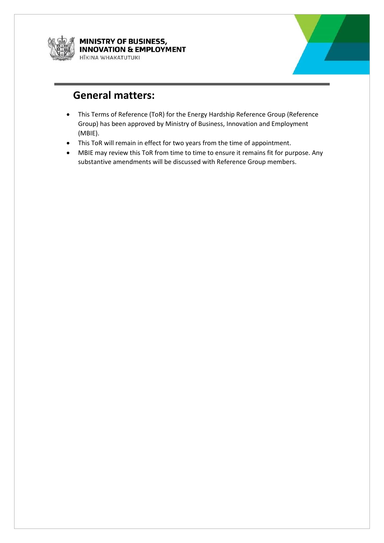

**MINISTRY OF BUSINESS, INNOVATION & EMPLOYMENT** HĪKINA WHAKATUTUKI



#### **General matters:**

- This Terms of Reference (ToR) for the Energy Hardship Reference Group (Reference Group) has been approved by Ministry of Business, Innovation and Employment (MBIE).
- This ToR will remain in effect for two years from the time of appointment.
- MBIE may review this ToR from time to time to ensure it remains fit for purpose. Any substantive amendments will be discussed with Reference Group members.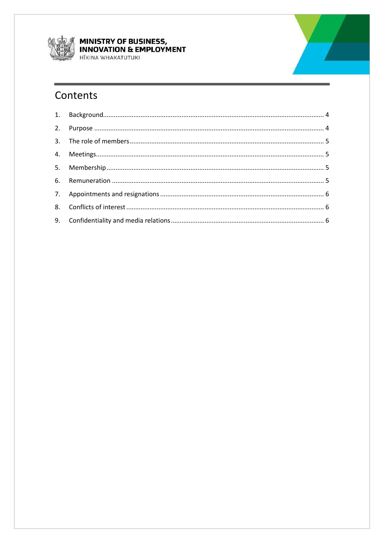

**MINISTRY OF BUSINESS,<br>INNOVATION & EMPLOYMENT** HĪKINA WHAKATUTUKI

# Contents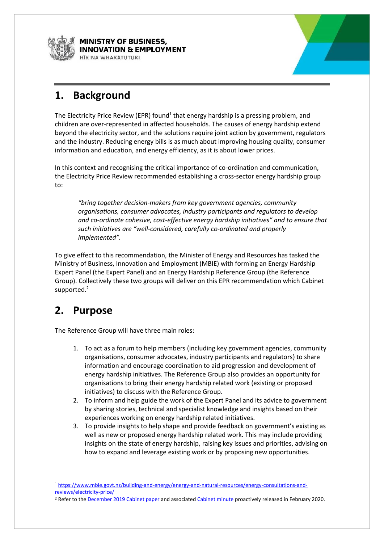

**MINISTRY OF BUSINESS, NNOVATION & EMPLOYMENT** ITKINA WHAKATUTUKI



#### <span id="page-3-0"></span>**1. Background**

The Electricity Price Review (EPR) found<sup>1</sup> that energy hardship is a pressing problem, and children are over-represented in affected households. The causes of energy hardship extend beyond the electricity sector, and the solutions require joint action by government, regulators and the industry. Reducing energy bills is as much about improving housing quality, consumer information and education, and energy efficiency, as it is about lower prices.

In this context and recognising the critical importance of co-ordination and communication, the Electricity Price Review recommended establishing a cross-sector energy hardship group to:

*"bring together decision-makers from key government agencies, community organisations, consumer advocates, industry participants and regulators to develop and co-ordinate cohesive, cost-effective energy hardship initiatives" and to ensure that such initiatives are "well-considered, carefully co-ordinated and properly implemented".*

To give effect to this recommendation, the Minister of Energy and Resources has tasked the Ministry of Business, Innovation and Employment (MBIE) with forming an Energy Hardship Expert Panel (the Expert Panel) and an Energy Hardship Reference Group (the Reference Group). Collectively these two groups will deliver on this EPR recommendation which Cabinet supported.<sup>2</sup>

#### <span id="page-3-1"></span>**2. Purpose**

 $\overline{\phantom{a}}$ 

The Reference Group will have three main roles:

- 1. To act as a forum to help members (including key government agencies, community organisations, consumer advocates, industry participants and regulators) to share information and encourage coordination to aid progression and development of energy hardship initiatives. The Reference Group also provides an opportunity for organisations to bring their energy hardship related work (existing or proposed initiatives) to discuss with the Reference Group.
- 2. To inform and help guide the work of the Expert Panel and its advice to government by sharing stories, technical and specialist knowledge and insights based on their experiences working on energy hardship related initiatives.
- 3. To provide insights to help shape and provide feedback on government's existing as well as new or proposed energy hardship related work. This may include providing insights on the state of energy hardship, raising key issues and priorities, advising on how to expand and leverage existing work or by proposing new opportunities.

<sup>1</sup> [https://www.mbie.govt.nz/building-and-energy/energy-and-natural-resources/energy-consultations-and](https://www.mbie.govt.nz/building-and-energy/energy-and-natural-resources/energy-consultations-and-reviews/electricity-price/)[reviews/electricity-price/](https://www.mbie.govt.nz/building-and-energy/energy-and-natural-resources/energy-consultations-and-reviews/electricity-price/)

<sup>&</sup>lt;sup>2</sup> Refer to the [December 2019 Cabinet paper](https://www.mbie.govt.nz/assets/progressing-the-electricity-price-reviews-recommendations.pdf) and associated [Cabinet minute](https://www.mbie.govt.nz/assets/progressing-the-electricity-price-reviews-recommendations-minute-of-decision.pdf) proactively released in February 2020.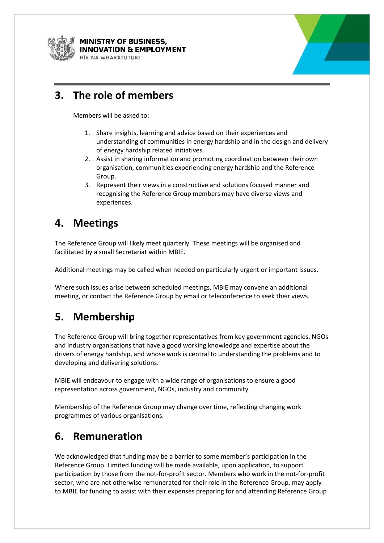

**MINISTRY OF BUSINESS, NNOVATION & EMPLOYMENT JIKINA WHAKATIITIIKI** 



#### <span id="page-4-0"></span>**3. The role of members**

Members will be asked to:

- 1. Share insights, learning and advice based on their experiences and understanding of communities in energy hardship and in the design and delivery of energy hardship related initiatives.
- 2. Assist in sharing information and promoting coordination between their own organisation, communities experiencing energy hardship and the Reference Group.
- 3. Represent their views in a constructive and solutions focused manner and recognising the Reference Group members may have diverse views and experiences.

#### <span id="page-4-1"></span>**4. Meetings**

The Reference Group will likely meet quarterly. These meetings will be organised and facilitated by a small Secretariat within MBIE.

Additional meetings may be called when needed on particularly urgent or important issues.

Where such issues arise between scheduled meetings, MBIE may convene an additional meeting, or contact the Reference Group by email or teleconference to seek their views.

# <span id="page-4-2"></span>**5. Membership**

The Reference Group will bring together representatives from key government agencies, NGOs and industry organisations that have a good working knowledge and expertise about the drivers of energy hardship, and whose work is central to understanding the problems and to developing and delivering solutions.

MBIE will endeavour to engage with a wide range of organisations to ensure a good representation across government, NGOs, industry and community.

Membership of the Reference Group may change over time, reflecting changing work programmes of various organisations.

#### <span id="page-4-3"></span>**6. Remuneration**

We acknowledged that funding may be a barrier to some member's participation in the Reference Group. Limited funding will be made available, upon application, to support participation by those from the not-for-profit sector. Members who work in the not-for-profit sector, who are not otherwise remunerated for their role in the Reference Group, may apply to MBIE for funding to assist with their expenses preparing for and attending Reference Group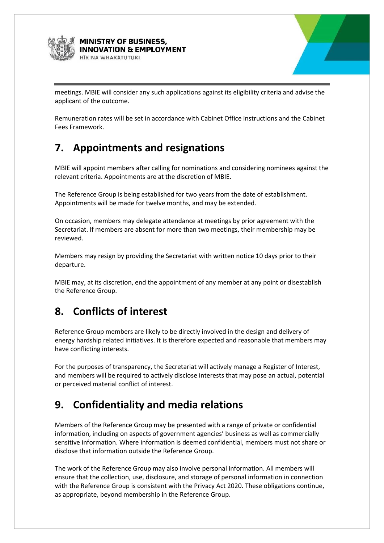



meetings. MBIE will consider any such applications against its eligibility criteria and advise the applicant of the outcome.

Remuneration rates will be set in accordance with Cabinet Office instructions and the Cabinet Fees Framework.

# <span id="page-5-0"></span>**7. Appointments and resignations**

MBIE will appoint members after calling for nominations and considering nominees against the relevant criteria. Appointments are at the discretion of MBIE.

The Reference Group is being established for two years from the date of establishment. Appointments will be made for twelve months, and may be extended.

On occasion, members may delegate attendance at meetings by prior agreement with the Secretariat. If members are absent for more than two meetings, their membership may be reviewed.

Members may resign by providing the Secretariat with written notice 10 days prior to their departure.

MBIE may, at its discretion, end the appointment of any member at any point or disestablish the Reference Group.

# <span id="page-5-1"></span>**8. Conflicts of interest**

Reference Group members are likely to be directly involved in the design and delivery of energy hardship related initiatives. It is therefore expected and reasonable that members may have conflicting interests.

For the purposes of transparency, the Secretariat will actively manage a Register of Interest, and members will be required to actively disclose interests that may pose an actual, potential or perceived material conflict of interest.

# <span id="page-5-2"></span>**9. Confidentiality and media relations**

Members of the Reference Group may be presented with a range of private or confidential information, including on aspects of government agencies' business as well as commercially sensitive information. Where information is deemed confidential, members must not share or disclose that information outside the Reference Group.

The work of the Reference Group may also involve personal information. All members will ensure that the collection, use, disclosure, and storage of personal information in connection with the Reference Group is consistent with the Privacy Act 2020. These obligations continue, as appropriate, beyond membership in the Reference Group.